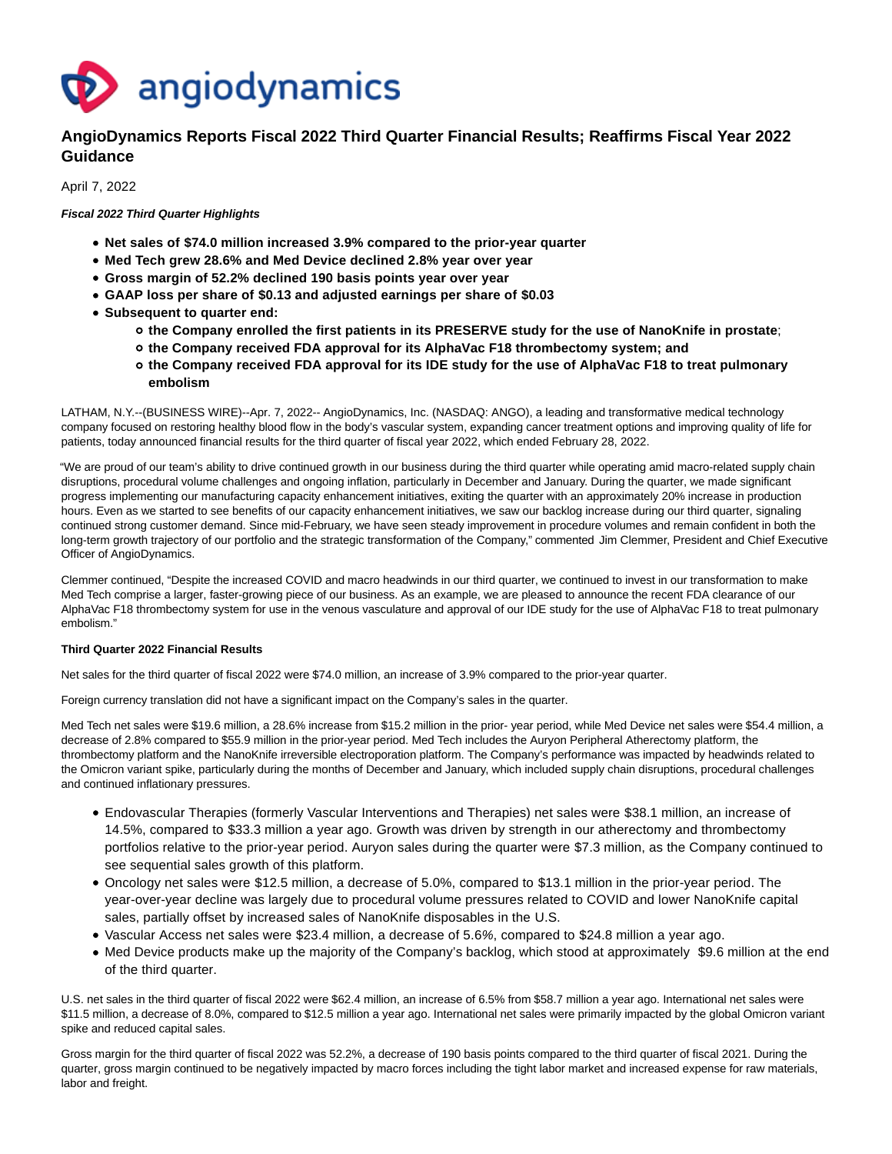

# **AngioDynamics Reports Fiscal 2022 Third Quarter Financial Results; Reaffirms Fiscal Year 2022 Guidance**

April 7, 2022

## **Fiscal 2022 Third Quarter Highlights**

- **Net sales of \$74.0 million increased 3.9% compared to the prior-year quarter**
- **Med Tech grew 28.6% and Med Device declined 2.8% year over year**
- **Gross margin of 52.2% declined 190 basis points year over year**
- **GAAP loss per share of \$0.13 and adjusted earnings per share of \$0.03**
- **Subsequent to quarter end:**
	- **the Company enrolled the first patients in its PRESERVE study for the use of NanoKnife in prostate**;
	- **the Company received FDA approval for its AlphaVac F18 thrombectomy system; and**
	- **the Company received FDA approval for its IDE study for the use of AlphaVac F18 to treat pulmonary embolism**

LATHAM, N.Y.--(BUSINESS WIRE)--Apr. 7, 2022-- AngioDynamics, Inc. (NASDAQ: ANGO), a leading and transformative medical technology company focused on restoring healthy blood flow in the body's vascular system, expanding cancer treatment options and improving quality of life for patients, today announced financial results for the third quarter of fiscal year 2022, which ended February 28, 2022.

"We are proud of our team's ability to drive continued growth in our business during the third quarter while operating amid macro-related supply chain disruptions, procedural volume challenges and ongoing inflation, particularly in December and January. During the quarter, we made significant progress implementing our manufacturing capacity enhancement initiatives, exiting the quarter with an approximately 20% increase in production hours. Even as we started to see benefits of our capacity enhancement initiatives, we saw our backlog increase during our third quarter, signaling continued strong customer demand. Since mid-February, we have seen steady improvement in procedure volumes and remain confident in both the long-term growth trajectory of our portfolio and the strategic transformation of the Company," commented Jim Clemmer, President and Chief Executive Officer of AngioDynamics.

Clemmer continued, "Despite the increased COVID and macro headwinds in our third quarter, we continued to invest in our transformation to make Med Tech comprise a larger, faster-growing piece of our business. As an example, we are pleased to announce the recent FDA clearance of our AlphaVac F18 thrombectomy system for use in the venous vasculature and approval of our IDE study for the use of AlphaVac F18 to treat pulmonary embolism."

### **Third Quarter 2022 Financial Results**

Net sales for the third quarter of fiscal 2022 were \$74.0 million, an increase of 3.9% compared to the prior-year quarter.

Foreign currency translation did not have a significant impact on the Company's sales in the quarter.

Med Tech net sales were \$19.6 million, a 28.6% increase from \$15.2 million in the prior- year period, while Med Device net sales were \$54.4 million, a decrease of 2.8% compared to \$55.9 million in the prior-year period. Med Tech includes the Auryon Peripheral Atherectomy platform, the thrombectomy platform and the NanoKnife irreversible electroporation platform. The Company's performance was impacted by headwinds related to the Omicron variant spike, particularly during the months of December and January, which included supply chain disruptions, procedural challenges and continued inflationary pressures.

- Endovascular Therapies (formerly Vascular Interventions and Therapies) net sales were \$38.1 million, an increase of 14.5%, compared to \$33.3 million a year ago. Growth was driven by strength in our atherectomy and thrombectomy portfolios relative to the prior-year period. Auryon sales during the quarter were \$7.3 million, as the Company continued to see sequential sales growth of this platform.
- Oncology net sales were \$12.5 million, a decrease of 5.0%, compared to \$13.1 million in the prior-year period. The year-over-year decline was largely due to procedural volume pressures related to COVID and lower NanoKnife capital sales, partially offset by increased sales of NanoKnife disposables in the U.S.
- Vascular Access net sales were \$23.4 million, a decrease of 5.6%, compared to \$24.8 million a year ago.
- Med Device products make up the majority of the Company's backlog, which stood at approximately \$9.6 million at the end of the third quarter.

U.S. net sales in the third quarter of fiscal 2022 were \$62.4 million, an increase of 6.5% from \$58.7 million a year ago. International net sales were \$11.5 million, a decrease of 8.0%, compared to \$12.5 million a year ago. International net sales were primarily impacted by the global Omicron variant spike and reduced capital sales.

Gross margin for the third quarter of fiscal 2022 was 52.2%, a decrease of 190 basis points compared to the third quarter of fiscal 2021. During the quarter, gross margin continued to be negatively impacted by macro forces including the tight labor market and increased expense for raw materials, labor and freight.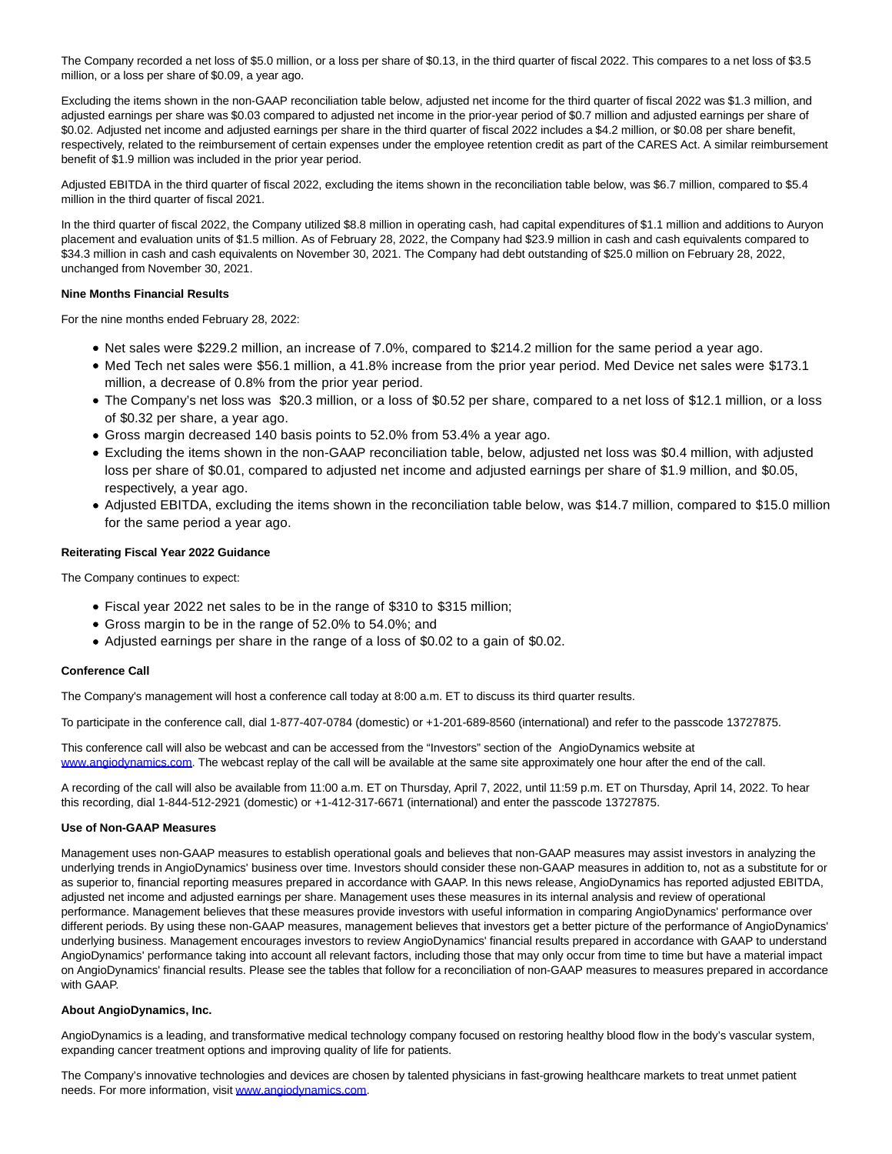The Company recorded a net loss of \$5.0 million, or a loss per share of \$0.13, in the third quarter of fiscal 2022. This compares to a net loss of \$3.5 million, or a loss per share of \$0.09, a year ago.

Excluding the items shown in the non-GAAP reconciliation table below, adjusted net income for the third quarter of fiscal 2022 was \$1.3 million, and adjusted earnings per share was \$0.03 compared to adjusted net income in the prior-year period of \$0.7 million and adjusted earnings per share of \$0.02. Adjusted net income and adjusted earnings per share in the third quarter of fiscal 2022 includes a \$4.2 million, or \$0.08 per share benefit, respectively, related to the reimbursement of certain expenses under the employee retention credit as part of the CARES Act. A similar reimbursement benefit of \$1.9 million was included in the prior year period.

Adjusted EBITDA in the third quarter of fiscal 2022, excluding the items shown in the reconciliation table below, was \$6.7 million, compared to \$5.4 million in the third quarter of fiscal 2021.

In the third quarter of fiscal 2022, the Company utilized \$8.8 million in operating cash, had capital expenditures of \$1.1 million and additions to Auryon placement and evaluation units of \$1.5 million. As of February 28, 2022, the Company had \$23.9 million in cash and cash equivalents compared to \$34.3 million in cash and cash equivalents on November 30, 2021. The Company had debt outstanding of \$25.0 million on February 28, 2022, unchanged from November 30, 2021.

#### **Nine Months Financial Results**

For the nine months ended February 28, 2022:

- Net sales were \$229.2 million, an increase of 7.0%, compared to \$214.2 million for the same period a year ago.
- Med Tech net sales were \$56.1 million, a 41.8% increase from the prior year period. Med Device net sales were \$173.1 million, a decrease of 0.8% from the prior year period.
- The Company's net loss was \$20.3 million, or a loss of \$0.52 per share, compared to a net loss of \$12.1 million, or a loss of \$0.32 per share, a year ago.
- Gross margin decreased 140 basis points to 52.0% from 53.4% a year ago.
- Excluding the items shown in the non-GAAP reconciliation table, below, adjusted net loss was \$0.4 million, with adjusted loss per share of \$0.01, compared to adjusted net income and adjusted earnings per share of \$1.9 million, and \$0.05, respectively, a year ago.
- Adjusted EBITDA, excluding the items shown in the reconciliation table below, was \$14.7 million, compared to \$15.0 million for the same period a year ago.

### **Reiterating Fiscal Year 2022 Guidance**

The Company continues to expect:

- Fiscal year 2022 net sales to be in the range of \$310 to \$315 million;
- Gross margin to be in the range of 52.0% to 54.0%; and
- Adjusted earnings per share in the range of a loss of \$0.02 to a gain of \$0.02.

### **Conference Call**

The Company's management will host a conference call today at 8:00 a.m. ET to discuss its third quarter results.

To participate in the conference call, dial 1-877-407-0784 (domestic) or +1-201-689-8560 (international) and refer to the passcode 13727875.

This conference call will also be webcast and can be accessed from the "Investors" section of the AngioDynamics website at [www.angiodynamics.com.](https://cts.businesswire.com/ct/CT?id=smartlink&url=http%3A%2F%2Fwww.angiodynamics.com&esheet=52663766&newsitemid=20220407005339&lan=en-US&anchor=www.angiodynamics.com&index=1&md5=8b4babd57217f9d1fb805e411bdd1b5f) The webcast replay of the call will be available at the same site approximately one hour after the end of the call.

A recording of the call will also be available from 11:00 a.m. ET on Thursday, April 7, 2022, until 11:59 p.m. ET on Thursday, April 14, 2022. To hear this recording, dial 1-844-512-2921 (domestic) or +1-412-317-6671 (international) and enter the passcode 13727875.

#### **Use of Non-GAAP Measures**

Management uses non-GAAP measures to establish operational goals and believes that non-GAAP measures may assist investors in analyzing the underlying trends in AngioDynamics' business over time. Investors should consider these non-GAAP measures in addition to, not as a substitute for or as superior to, financial reporting measures prepared in accordance with GAAP. In this news release, AngioDynamics has reported adjusted EBITDA, adjusted net income and adjusted earnings per share. Management uses these measures in its internal analysis and review of operational performance. Management believes that these measures provide investors with useful information in comparing AngioDynamics' performance over different periods. By using these non-GAAP measures, management believes that investors get a better picture of the performance of AngioDynamics' underlying business. Management encourages investors to review AngioDynamics' financial results prepared in accordance with GAAP to understand AngioDynamics' performance taking into account all relevant factors, including those that may only occur from time to time but have a material impact on AngioDynamics' financial results. Please see the tables that follow for a reconciliation of non-GAAP measures to measures prepared in accordance with GAAP.

### **About AngioDynamics, Inc.**

AngioDynamics is a leading, and transformative medical technology company focused on restoring healthy blood flow in the body's vascular system, expanding cancer treatment options and improving quality of life for patients.

The Company's innovative technologies and devices are chosen by talented physicians in fast-growing healthcare markets to treat unmet patient needs. For more information, visit [www.angiodynamics.com.](https://cts.businesswire.com/ct/CT?id=smartlink&url=http%3A%2F%2Fwww.angiodynamics.com&esheet=52663766&newsitemid=20220407005339&lan=en-US&anchor=www.angiodynamics.com&index=2&md5=c5168afb6e99c8d020e18e586651feb8)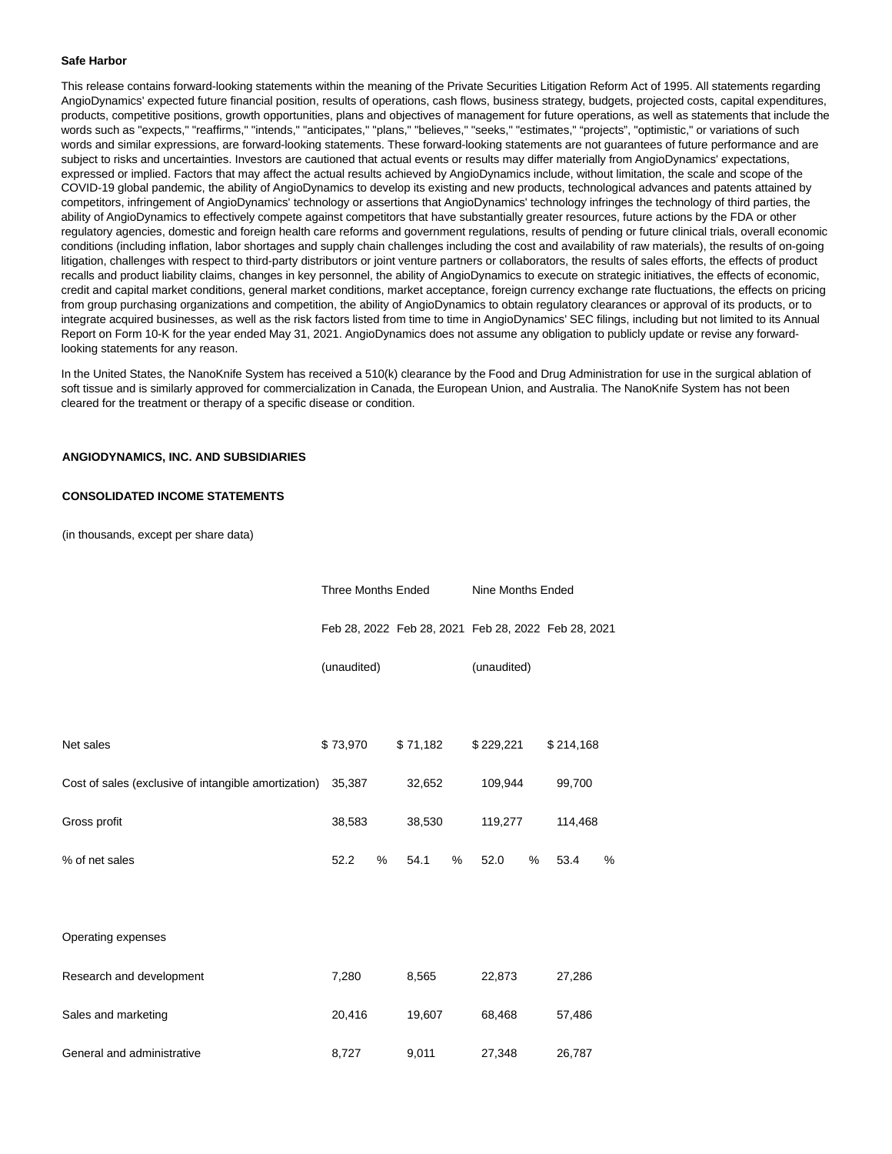#### **Safe Harbor**

This release contains forward-looking statements within the meaning of the Private Securities Litigation Reform Act of 1995. All statements regarding AngioDynamics' expected future financial position, results of operations, cash flows, business strategy, budgets, projected costs, capital expenditures, products, competitive positions, growth opportunities, plans and objectives of management for future operations, as well as statements that include the words such as "expects," "reaffirms," "intends," "anticipates," "plans," "believes," "seeks," "estimates," "projects", "optimistic," or variations of such words and similar expressions, are forward-looking statements. These forward-looking statements are not guarantees of future performance and are subject to risks and uncertainties. Investors are cautioned that actual events or results may differ materially from AngioDynamics' expectations, expressed or implied. Factors that may affect the actual results achieved by AngioDynamics include, without limitation, the scale and scope of the COVID-19 global pandemic, the ability of AngioDynamics to develop its existing and new products, technological advances and patents attained by competitors, infringement of AngioDynamics' technology or assertions that AngioDynamics' technology infringes the technology of third parties, the ability of AngioDynamics to effectively compete against competitors that have substantially greater resources, future actions by the FDA or other regulatory agencies, domestic and foreign health care reforms and government regulations, results of pending or future clinical trials, overall economic conditions (including inflation, labor shortages and supply chain challenges including the cost and availability of raw materials), the results of on-going litigation, challenges with respect to third-party distributors or joint venture partners or collaborators, the results of sales efforts, the effects of product recalls and product liability claims, changes in key personnel, the ability of AngioDynamics to execute on strategic initiatives, the effects of economic, credit and capital market conditions, general market conditions, market acceptance, foreign currency exchange rate fluctuations, the effects on pricing from group purchasing organizations and competition, the ability of AngioDynamics to obtain regulatory clearances or approval of its products, or to integrate acquired businesses, as well as the risk factors listed from time to time in AngioDynamics' SEC filings, including but not limited to its Annual Report on Form 10-K for the year ended May 31, 2021. AngioDynamics does not assume any obligation to publicly update or revise any forwardlooking statements for any reason.

In the United States, the NanoKnife System has received a 510(k) clearance by the Food and Drug Administration for use in the surgical ablation of soft tissue and is similarly approved for commercialization in Canada, the European Union, and Australia. The NanoKnife System has not been cleared for the treatment or therapy of a specific disease or condition.

#### **ANGIODYNAMICS, INC. AND SUBSIDIARIES**

#### **CONSOLIDATED INCOME STATEMENTS**

(in thousands, except per share data)

|                                                      | <b>Three Months Ended</b>                                          |   |          | Nine Months Ended |             |   |           |   |  |  |
|------------------------------------------------------|--------------------------------------------------------------------|---|----------|-------------------|-------------|---|-----------|---|--|--|
|                                                      | Feb 28, 2022 Feb 28, 2021 Feb 28, 2022 Feb 28, 2021<br>(unaudited) |   |          |                   |             |   |           |   |  |  |
|                                                      |                                                                    |   |          |                   | (unaudited) |   |           |   |  |  |
|                                                      |                                                                    |   |          |                   |             |   |           |   |  |  |
| Net sales                                            | \$73,970                                                           |   | \$71,182 |                   | \$229,221   |   | \$214,168 |   |  |  |
| Cost of sales (exclusive of intangible amortization) | 35,387                                                             |   | 32,652   |                   | 109,944     |   | 99,700    |   |  |  |
| Gross profit                                         | 38,583                                                             |   | 38,530   |                   | 119,277     |   | 114,468   |   |  |  |
| % of net sales                                       | 52.2                                                               | % | 54.1     | %                 | 52.0        | % | 53.4      | % |  |  |
|                                                      |                                                                    |   |          |                   |             |   |           |   |  |  |
| Operating expenses                                   |                                                                    |   |          |                   |             |   |           |   |  |  |
| Research and development                             | 7,280                                                              |   | 8,565    |                   | 22,873      |   | 27,286    |   |  |  |
| Sales and marketing                                  | 20,416                                                             |   | 19,607   |                   | 68,468      |   | 57,486    |   |  |  |
| General and administrative                           | 8,727                                                              |   | 9,011    |                   | 27,348      |   | 26,787    |   |  |  |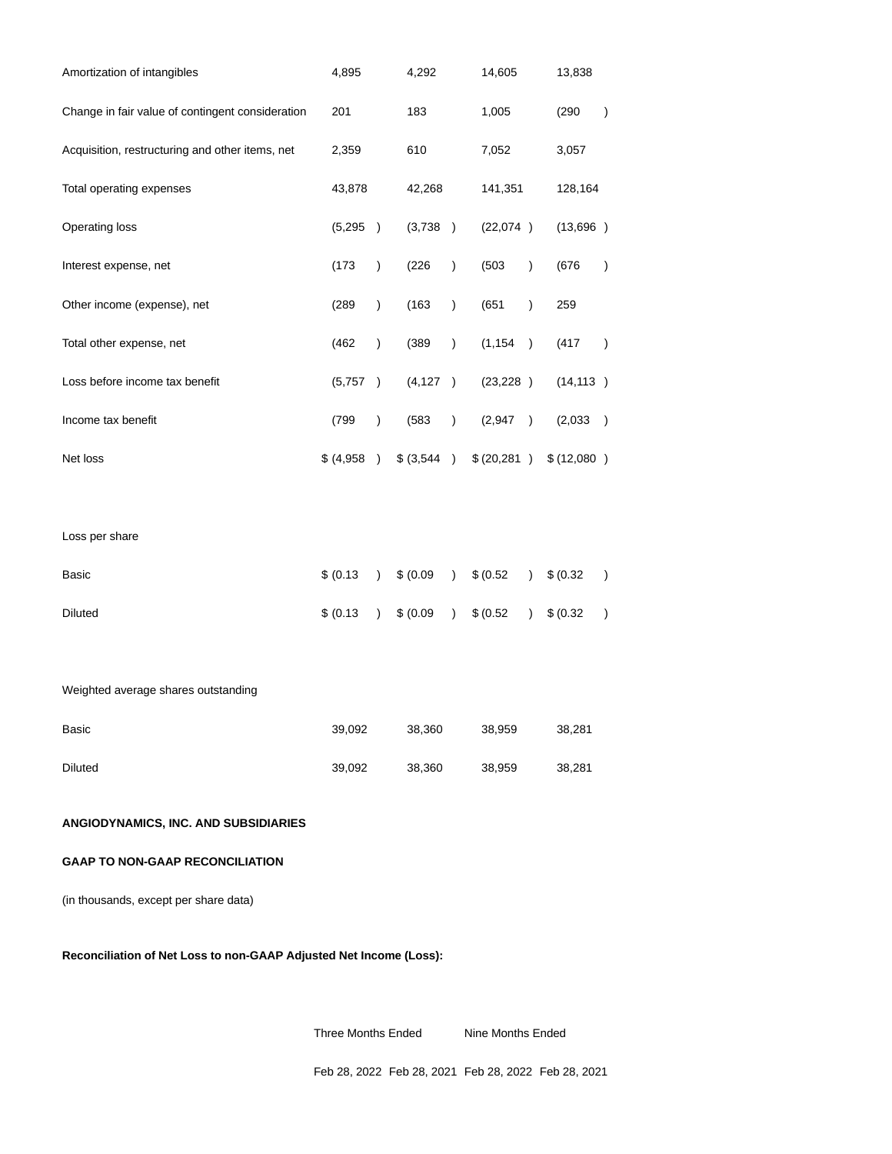| Amortization of intangibles                      | 4,895      |               | 4,292      |               | 14,605        |               | 13,838     |               |
|--------------------------------------------------|------------|---------------|------------|---------------|---------------|---------------|------------|---------------|
| Change in fair value of contingent consideration | 201        |               | 183        |               | 1,005         |               | (290)      | $\mathcal{E}$ |
| Acquisition, restructuring and other items, net  | 2,359      |               | 610        |               | 7,052         |               | 3,057      |               |
| Total operating expenses                         | 43,878     |               | 42,268     |               | 141,351       |               | 128,164    |               |
| Operating loss                                   | (5,295)    | $\lambda$     | (3,738)    | $\rightarrow$ | (22,074)      |               | (13,696)   |               |
| Interest expense, net                            | (173)      | $\mathcal{E}$ | (226)      | $\mathcal{E}$ | (503)         | $\mathcal{E}$ | (676)      | $\mathcal{E}$ |
| Other income (expense), net                      | (289)      | $\mathcal{E}$ | (163)      | $\mathcal{E}$ | (651)         | )             | 259        |               |
| Total other expense, net                         | (462)      | $\mathcal{E}$ | (389)      | $\mathcal{E}$ | (1, 154)      | $\lambda$     | (417)      | $\mathcal{E}$ |
| Loss before income tax benefit                   | (5,757)    | $\lambda$     | (4, 127)   | $\rightarrow$ | (23, 228)     |               | (14, 113)  |               |
| Income tax benefit                               | (799)      | $\mathcal{E}$ | (583)      | $\mathcal{C}$ | (2,947)       | $\rightarrow$ | (2,033)    |               |
| Net loss                                         | \$ (4,958) | $\lambda$     | \$ (3,544) | $\rightarrow$ | \$ (20, 281 ) |               | \$(12,080) |               |
|                                                  |            |               |            |               |               |               |            |               |
| Loss per share                                   |            |               |            |               |               |               |            |               |
| Basic                                            | \$ (0.13)  | $\mathcal{L}$ | \$ (0.09)  | $\lambda$     | \$ (0.52)     | $\mathcal{L}$ | \$ (0.32)  | $\mathcal{E}$ |
| <b>Diluted</b>                                   | \$ (0.13)  | $\lambda$     | \$ (0.09)  | $\lambda$     | \$ (0.52)     | $\mathcal{L}$ | \$ (0.32)  | $\mathcal{E}$ |
|                                                  |            |               |            |               |               |               |            |               |
| Weighted average shares outstanding              |            |               |            |               |               |               |            |               |
| Basic                                            | 39,092     |               | 38,360     |               | 38,959        |               | 38,281     |               |
| <b>Diluted</b>                                   | 39,092     |               | 38,360     |               |               |               | 38,281     |               |
|                                                  |            |               |            |               |               |               |            |               |
| ANGIODYNAMICS, INC. AND SUBSIDIARIES             |            |               |            |               |               |               |            |               |
| <b>GAAP TO NON-GAAP RECONCILIATION</b>           |            |               |            |               |               |               |            |               |

(in thousands, except per share data)

**Reconciliation of Net Loss to non-GAAP Adjusted Net Income (Loss):**

Three Months Ended Nine Months Ended

Feb 28, 2022 Feb 28, 2021 Feb 28, 2022 Feb 28, 2021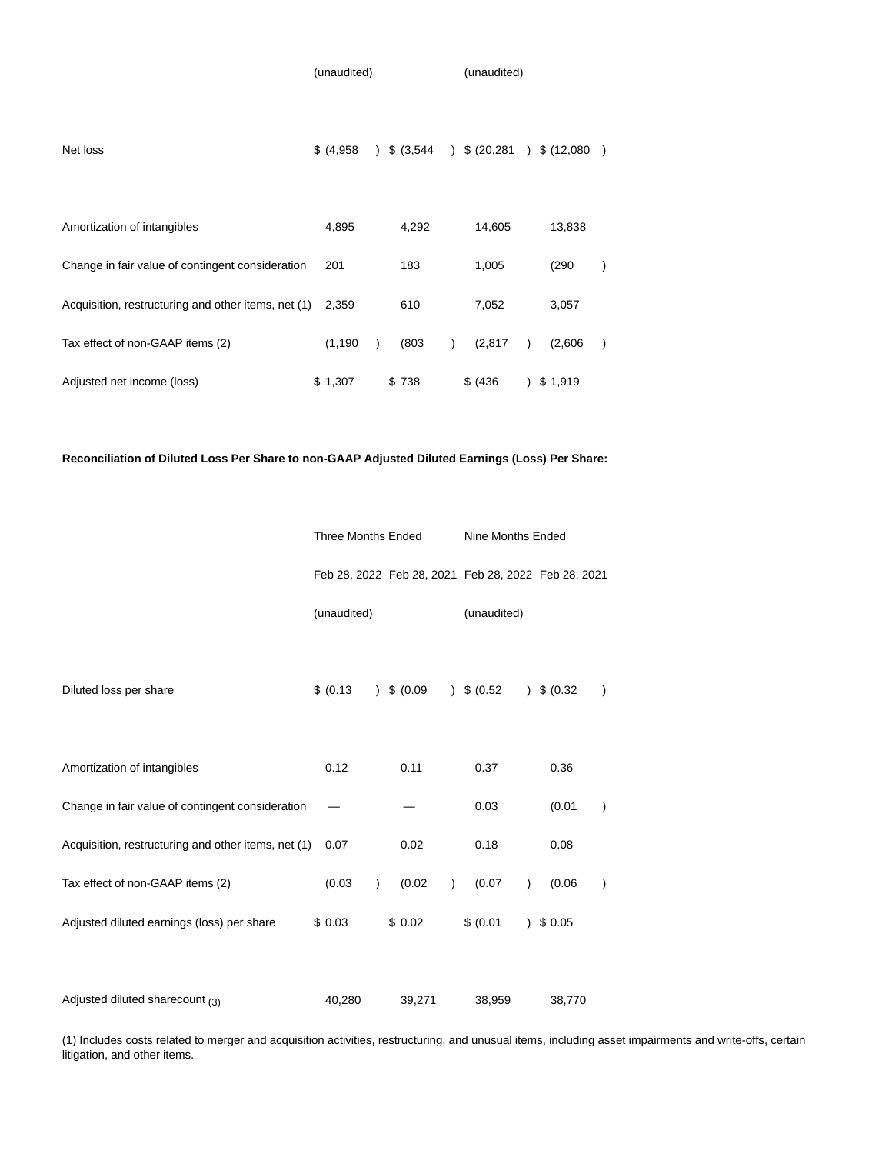| (unaudited) | (unaudited) |
|-------------|-------------|
|             |             |

Net loss  $$ (4,958 ) $ (3,544 ) $ (20,281 ) $ (12,080 )$ 

| Amortization of intangibles                         | 4,895    | 4.292 | 14.605   | 13,838  |
|-----------------------------------------------------|----------|-------|----------|---------|
| Change in fair value of contingent consideration    | 201      | 183   | 1.005    | (290)   |
| Acquisition, restructuring and other items, net (1) | 2.359    | 610   | 7.052    | 3,057   |
| Tax effect of non-GAAP items (2)                    | (1, 190) | (803) | (2,817)  | (2,606) |
| Adjusted net income (loss)                          | \$1,307  | \$738 | \$ (436) | \$1,919 |

## **Reconciliation of Diluted Loss Per Share to non-GAAP Adjusted Diluted Earnings (Loss) Per Share:**

|                                                     | <b>Three Months Ended</b>                           |           |           |               |             | Nine Months Ended |        |           |               |               |  |  |
|-----------------------------------------------------|-----------------------------------------------------|-----------|-----------|---------------|-------------|-------------------|--------|-----------|---------------|---------------|--|--|
|                                                     | Feb 28, 2022 Feb 28, 2021 Feb 28, 2022 Feb 28, 2021 |           |           |               |             |                   |        |           |               |               |  |  |
|                                                     | (unaudited)                                         |           |           |               | (unaudited) |                   |        |           |               |               |  |  |
| Diluted loss per share                              |                                                     | \$ (0.13) |           | $9 \$ (0.09)$ |             | $)$ \$ (0.52      |        |           | $)$ \$ (0.32) | $\lambda$     |  |  |
| Amortization of intangibles                         |                                                     | 0.12      |           | 0.11          |             |                   | 0.37   |           | 0.36          |               |  |  |
| Change in fair value of contingent consideration    |                                                     |           |           |               |             |                   | 0.03   |           | (0.01)        | $\lambda$     |  |  |
| Acquisition, restructuring and other items, net (1) |                                                     | 0.07      |           | 0.02          |             |                   | 0.18   |           | 0.08          |               |  |  |
| Tax effect of non-GAAP items (2)                    |                                                     | (0.03)    | $\lambda$ | (0.02)        | $\lambda$   |                   | (0.07) | $\lambda$ | (0.06)        | $\mathcal{E}$ |  |  |
| Adjusted diluted earnings (loss) per share          | \$0.03                                              |           |           | \$0.02        |             | \$ (0.01)         |        |           | $)$ \$ 0.05   |               |  |  |
|                                                     |                                                     |           |           |               |             |                   |        |           |               |               |  |  |
| Adjusted diluted sharecount (3)                     |                                                     | 40,280    |           | 39,271        |             |                   | 38,959 |           | 38,770        |               |  |  |

(1) Includes costs related to merger and acquisition activities, restructuring, and unusual items, including asset impairments and write-offs, certain litigation, and other items.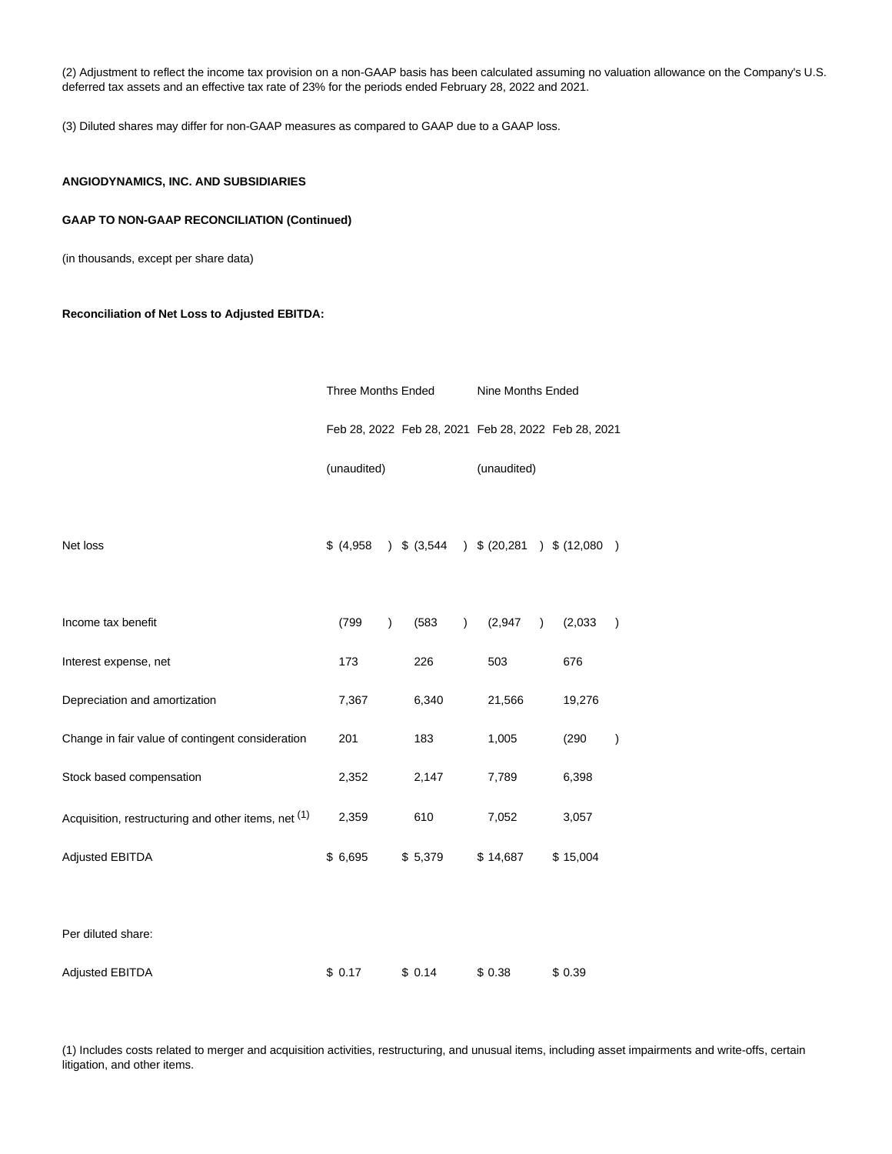(2) Adjustment to reflect the income tax provision on a non-GAAP basis has been calculated assuming no valuation allowance on the Company's U.S. deferred tax assets and an effective tax rate of 23% for the periods ended February 28, 2022 and 2021.

(3) Diluted shares may differ for non-GAAP measures as compared to GAAP due to a GAAP loss.

## **ANGIODYNAMICS, INC. AND SUBSIDIARIES**

## **GAAP TO NON-GAAP RECONCILIATION (Continued)**

(in thousands, except per share data)

### **Reconciliation of Net Loss to Adjusted EBITDA:**

|                                                     | <b>Three Months Ended</b> |           |                    | Nine Months Ended                                   |                      |               |  |  |  |  |  |
|-----------------------------------------------------|---------------------------|-----------|--------------------|-----------------------------------------------------|----------------------|---------------|--|--|--|--|--|
|                                                     |                           |           |                    | Feb 28, 2022 Feb 28, 2021 Feb 28, 2022 Feb 28, 2021 |                      |               |  |  |  |  |  |
|                                                     | (unaudited)               |           |                    | (unaudited)                                         |                      |               |  |  |  |  |  |
| Net loss                                            | \$(4,958)                 |           |                    | $\frac{1}{2}$ \$ (3,544 ) \$ (20,281 ) \$ (12,080   |                      | $\rightarrow$ |  |  |  |  |  |
| Income tax benefit                                  | (799)                     | $\lambda$ | (583)<br>$\lambda$ | (2,947)                                             | (2,033)<br>$\lambda$ | $\lambda$     |  |  |  |  |  |
| Interest expense, net                               | 173                       |           | 226                | 503                                                 | 676                  |               |  |  |  |  |  |
| Depreciation and amortization                       | 7,367                     |           | 6,340              | 21,566                                              | 19,276               |               |  |  |  |  |  |
| Change in fair value of contingent consideration    | 201                       |           | 183                | 1,005                                               | (290)                | $\mathcal{E}$ |  |  |  |  |  |
| Stock based compensation                            | 2,352                     |           | 2,147              | 7,789                                               | 6,398                |               |  |  |  |  |  |
| Acquisition, restructuring and other items, net (1) | 2,359                     |           | 610                | 7,052                                               | 3,057                |               |  |  |  |  |  |
| Adjusted EBITDA                                     | \$6,695                   |           | \$5,379            | \$14,687                                            | \$15,004             |               |  |  |  |  |  |
| Per diluted share:                                  |                           |           |                    |                                                     |                      |               |  |  |  |  |  |
| <b>Adjusted EBITDA</b>                              | \$0.17                    |           | \$0.14             | \$0.38                                              | \$0.39               |               |  |  |  |  |  |

(1) Includes costs related to merger and acquisition activities, restructuring, and unusual items, including asset impairments and write-offs, certain litigation, and other items.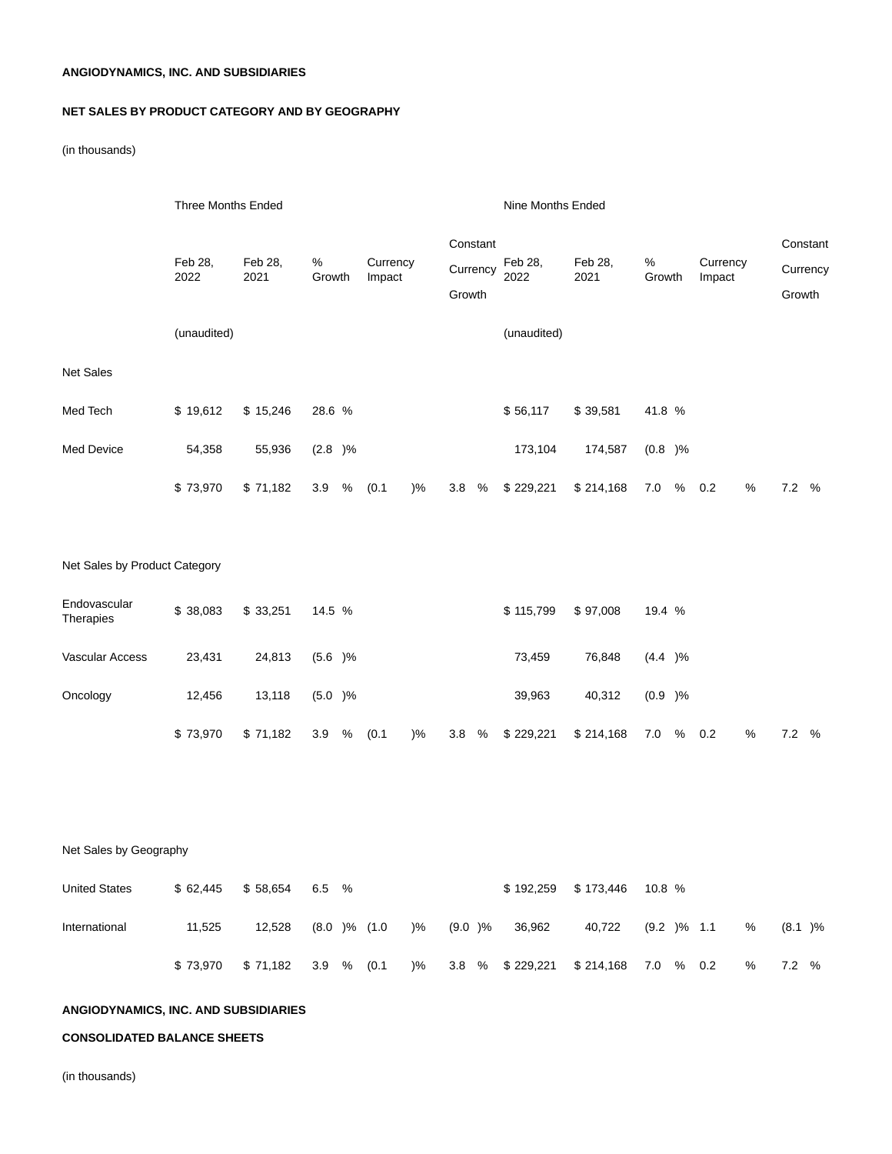## **ANGIODYNAMICS, INC. AND SUBSIDIARIES**

## **NET SALES BY PRODUCT CATEGORY AND BY GEOGRAPHY**

#### (in thousands)

|                               | <b>Three Months Ended</b> |                 |                |                    |       |                                |      | Nine Months Ended |                 |             |  |                    |               |        |                      |  |  |
|-------------------------------|---------------------------|-----------------|----------------|--------------------|-------|--------------------------------|------|-------------------|-----------------|-------------|--|--------------------|---------------|--------|----------------------|--|--|
|                               | Feb 28,<br>2022           | Feb 28,<br>2021 | $\%$<br>Growth | Currency<br>Impact |       | Constant<br>Currency<br>Growth |      | Feb 28,<br>2022   | Feb 28,<br>2021 | %<br>Growth |  | Currency<br>Impact |               | Growth | Constant<br>Currency |  |  |
|                               | (unaudited)               |                 |                |                    |       |                                |      | (unaudited)       |                 |             |  |                    |               |        |                      |  |  |
| <b>Net Sales</b>              |                           |                 |                |                    |       |                                |      |                   |                 |             |  |                    |               |        |                      |  |  |
| Med Tech                      | \$19,612                  | \$15,246        | 28.6 %         |                    |       |                                |      | \$56,117          | \$39,581        | 41.8 %      |  |                    |               |        |                      |  |  |
| Med Device                    | 54,358                    | 55,936          | (2.8)%         |                    |       |                                |      | 173,104           | 174,587         | (0.8)%      |  |                    |               |        |                      |  |  |
|                               | \$73,970                  | \$71,182        | $\%$<br>3.9    | (0.1)              | $)\%$ | 3.8                            | $\%$ | \$229,221         | \$214,168       | 7.0 %       |  | 0.2                | %             | 7.2 %  |                      |  |  |
|                               |                           |                 |                |                    |       |                                |      |                   |                 |             |  |                    |               |        |                      |  |  |
| Net Sales by Product Category |                           |                 |                |                    |       |                                |      |                   |                 |             |  |                    |               |        |                      |  |  |
| Endovascular<br>Therapies     | \$38,083                  | \$33,251        | 14.5 %         |                    |       |                                |      | \$115,799         | \$97,008        | 19.4 %      |  |                    |               |        |                      |  |  |
| Vascular Access               | 23,431                    | 24,813          | (5.6)%         |                    |       |                                |      | 73,459            | 76,848          | (4.4)%      |  |                    |               |        |                      |  |  |
| Oncology                      | 12,456                    | 13,118          | (5.0)%         |                    |       |                                |      | 39,963            | 40,312          | (0.9)%      |  |                    |               |        |                      |  |  |
|                               | \$73,970                  | \$71,182        | $\%$<br>3.9    | (0.1)              | $)\%$ | 3.8                            | $\%$ | \$229,221         | \$214,168       | 7.0 %       |  | 0.2                | $\frac{0}{0}$ | 7.2 %  |                      |  |  |
|                               |                           |                 |                |                    |       |                                |      |                   |                 |             |  |                    |               |        |                      |  |  |

## Net Sales by Geography

| <b>United States</b> | \$62.445 | \$58.654 | 6.5 % |                   |               |            | \$192,259 | \$173,446 10.8 %                                           |               |  |   |        |  |
|----------------------|----------|----------|-------|-------------------|---------------|------------|-----------|------------------------------------------------------------|---------------|--|---|--------|--|
| International        | 11.525   | 12.528   |       | $(8.0)$ % $(1.0)$ | $\frac{9}{6}$ | $(9.0) \%$ | 36,962    | 40.722                                                     | $(9.2)$ % 1.1 |  | % | (8.1)% |  |
|                      | \$73.970 |          |       |                   |               |            |           | \$71,182 3.9 % (0.1 )% 3.8 % \$229,221 \$214,168 7.0 % 0.2 |               |  | % | 7.2 %  |  |

## **ANGIODYNAMICS, INC. AND SUBSIDIARIES**

## **CONSOLIDATED BALANCE SHEETS**

(in thousands)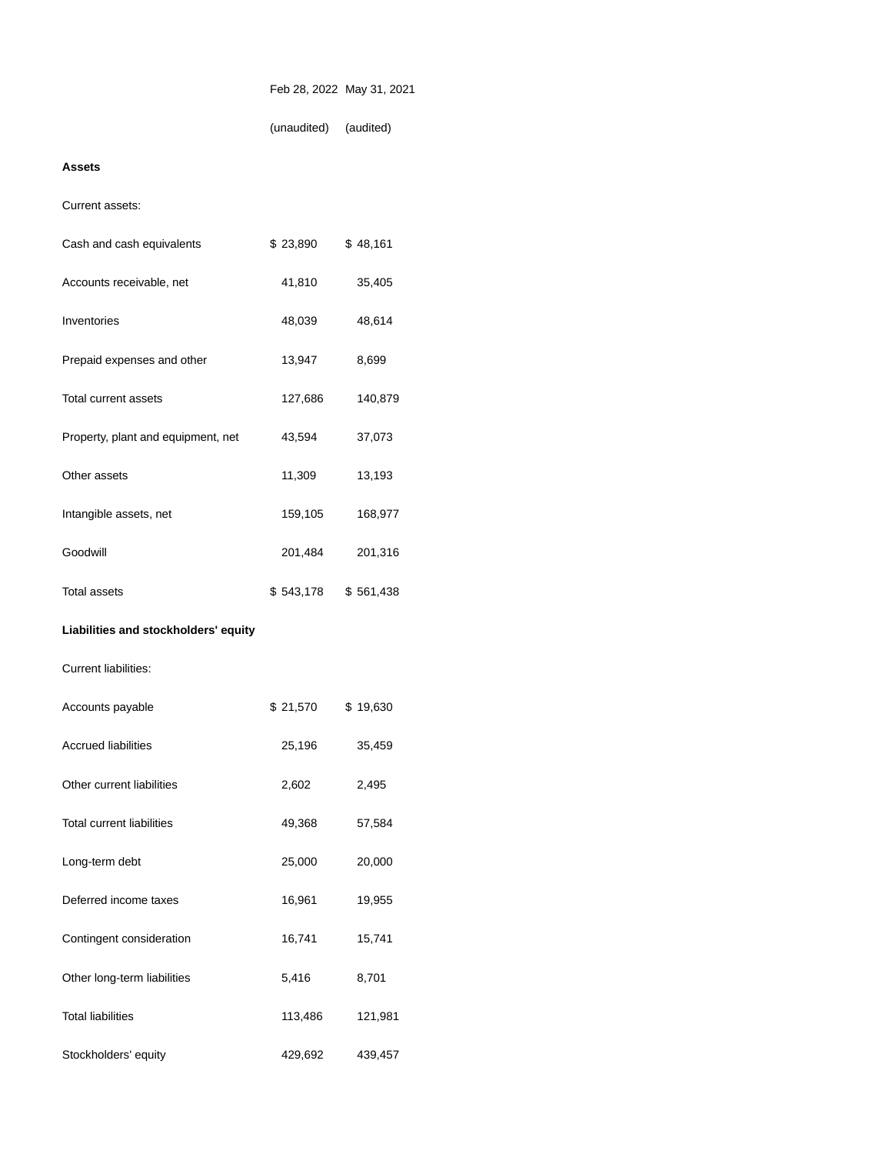## Feb 28, 2022 May 31, 2021

(unaudited) (audited)

### **Assets**

Current assets:

| Cash and cash equivalents            | \$23,890   | \$48,161  |
|--------------------------------------|------------|-----------|
| Accounts receivable, net             | 41,810     | 35,405    |
| Inventories                          | 48,039     | 48,614    |
| Prepaid expenses and other           | 13,947     | 8,699     |
| <b>Total current assets</b>          | 127,686    | 140,879   |
| Property, plant and equipment, net   | 43,594     | 37,073    |
| Other assets                         | 11,309     | 13,193    |
| Intangible assets, net               | 159,105    | 168,977   |
| Goodwill                             | 201,484    | 201,316   |
| <b>Total assets</b>                  | \$ 543,178 | \$561,438 |
| Liabilities and stockholders' equity |            |           |
| <b>Current liabilities:</b>          |            |           |
| Accounts payable                     | \$21,570   | \$19,630  |
| <b>Accrued liabilities</b>           |            |           |
|                                      | 25,196     | 35,459    |
| Other current liabilities            | 2,602      | 2,495     |
| <b>Total current liabilities</b>     | 49,368     | 57,584    |
| Long-term debt                       | 25,000     | 20,000    |
| Deferred income taxes                | 16,961     | 19,955    |
| Contingent consideration             | 16,741     | 15,741    |
| Other long-term liabilities          | 5,416      | 8,701     |
| <b>Total liabilities</b>             | 113,486    | 121,981   |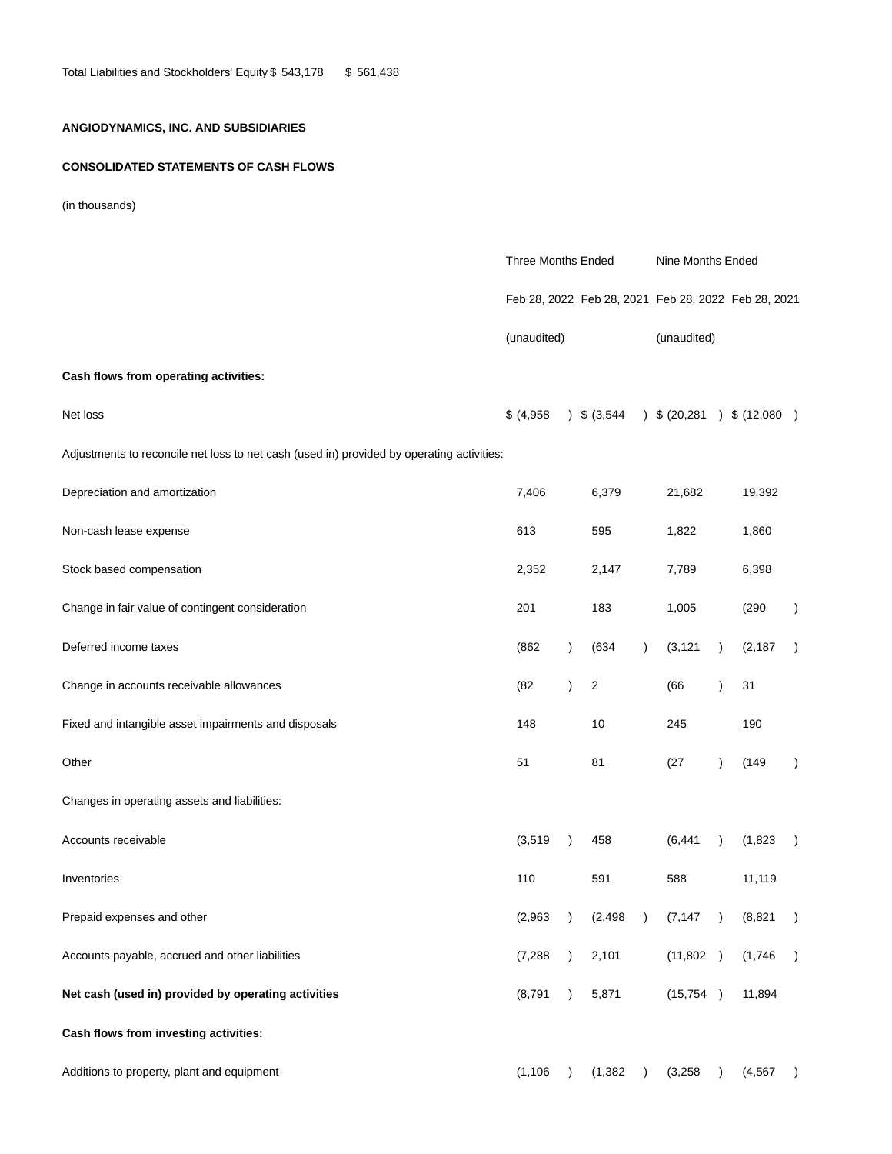## **ANGIODYNAMICS, INC. AND SUBSIDIARIES**

## **CONSOLIDATED STATEMENTS OF CASH FLOWS**

(in thousands)

|                                                                                           | <b>Three Months Ended</b> |           |                | Nine Months Ended |                                                     |               |                        |               |  |
|-------------------------------------------------------------------------------------------|---------------------------|-----------|----------------|-------------------|-----------------------------------------------------|---------------|------------------------|---------------|--|
|                                                                                           |                           |           |                |                   | Feb 28, 2022 Feb 28, 2021 Feb 28, 2022 Feb 28, 2021 |               |                        |               |  |
|                                                                                           | (unaudited)               |           |                |                   | (unaudited)                                         |               |                        |               |  |
| Cash flows from operating activities:                                                     |                           |           |                |                   |                                                     |               |                        |               |  |
| Net loss                                                                                  | \$ (4,958)                |           | $)$ \$ (3,544) |                   |                                                     |               | $(20,281)$ \$ (12,080) |               |  |
| Adjustments to reconcile net loss to net cash (used in) provided by operating activities: |                           |           |                |                   |                                                     |               |                        |               |  |
| Depreciation and amortization                                                             | 7,406                     |           | 6,379          |                   | 21,682                                              |               | 19,392                 |               |  |
| Non-cash lease expense                                                                    | 613                       |           | 595            |                   | 1,822                                               |               | 1,860                  |               |  |
| Stock based compensation                                                                  | 2,352                     |           | 2,147          |                   | 7,789                                               |               | 6,398                  |               |  |
| Change in fair value of contingent consideration                                          | 201                       |           | 183            |                   | 1,005                                               |               | (290)                  | $\lambda$     |  |
| Deferred income taxes                                                                     | (862)                     | $\lambda$ | (634)          | $\lambda$         | (3, 121)                                            | $\lambda$     | (2, 187)               | $\rightarrow$ |  |
| Change in accounts receivable allowances                                                  | (82)                      | $\lambda$ | $\overline{2}$ |                   | (66)                                                | $\lambda$     | 31                     |               |  |
| Fixed and intangible asset impairments and disposals                                      | 148                       |           | 10             |                   | 245                                                 |               | 190                    |               |  |
| Other                                                                                     | 51                        |           | 81             |                   | (27)                                                | $\lambda$     | (149)                  | $\lambda$     |  |
| Changes in operating assets and liabilities:                                              |                           |           |                |                   |                                                     |               |                        |               |  |
| Accounts receivable                                                                       | (3, 519)                  | $\lambda$ | 458            |                   | (6, 441)                                            | $\lambda$     | (1,823)                | $\rightarrow$ |  |
| Inventories                                                                               | 110                       |           | 591            |                   | 588                                                 |               | 11,119                 |               |  |
| Prepaid expenses and other                                                                | (2,963)                   |           | (2, 498)       |                   | (7, 147)                                            |               | (8, 821)               | $\lambda$     |  |
| Accounts payable, accrued and other liabilities                                           | (7, 288)                  | $\lambda$ | 2,101          |                   | (11, 802)                                           | $\rightarrow$ | (1,746)                | $\rightarrow$ |  |
| Net cash (used in) provided by operating activities                                       | (8,791)                   |           | 5,871          |                   | (15, 754)                                           |               | 11,894                 |               |  |
| Cash flows from investing activities:                                                     |                           |           |                |                   |                                                     |               |                        |               |  |
| Additions to property, plant and equipment                                                | (1, 106)                  |           | (1, 382)       |                   | (3,258)                                             |               | (4, 567)               |               |  |